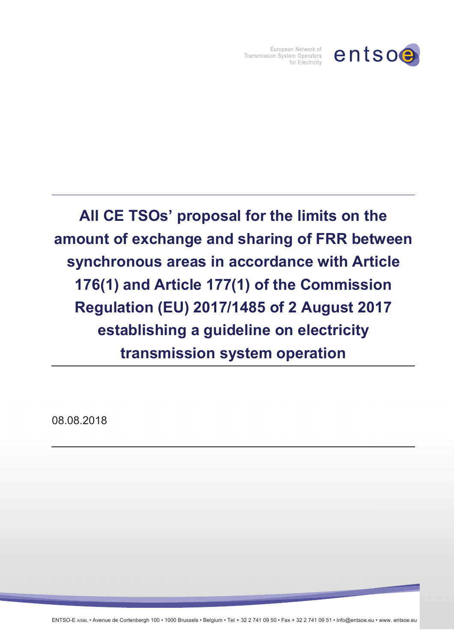

European Network of Transmission System Operators for Electricity

**All CE TSOsí proposal for the limits on the amount of exchange and sharing of FRR between synchronous areas in accordance with Article 176(1) and Article 177(1) of the Commission Regulation (EU) 2017/1485 of 2 August 2017 establishing a guideline on electricity transmission system operation** 

08.08.2018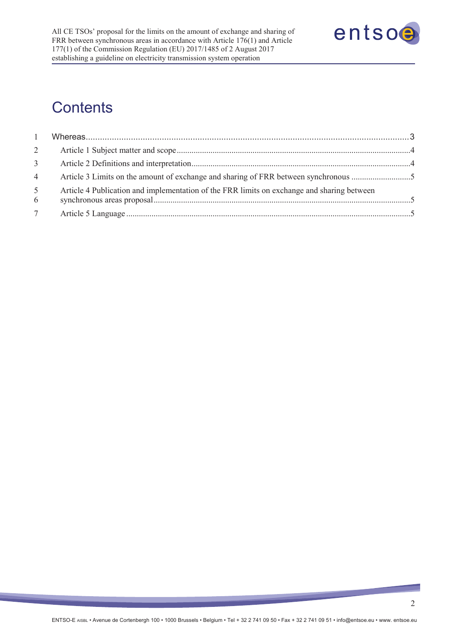

# **Contents**

| $\mathbf{1}$        |                                                                                            |  |
|---------------------|--------------------------------------------------------------------------------------------|--|
| $\overline{2}$      |                                                                                            |  |
| 3 <sup>7</sup>      |                                                                                            |  |
| $\overline{4}$      |                                                                                            |  |
| 5 <sup>5</sup><br>6 | Article 4 Publication and implementation of the FRR limits on exchange and sharing between |  |
| $7\overline{ }$     |                                                                                            |  |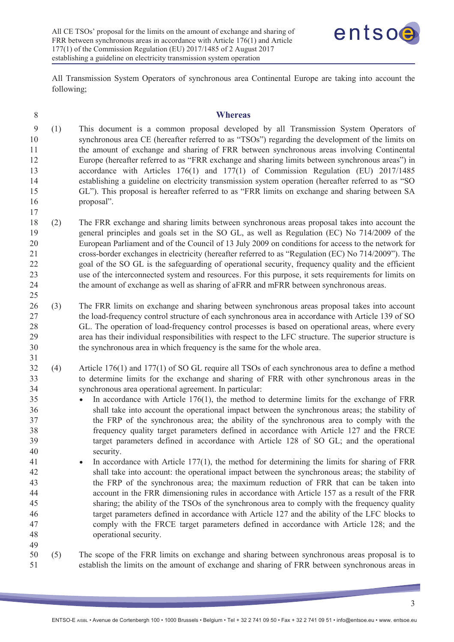

All Transmission System Operators of synchronous area Continental Europe are taking into account the following;

| $8\phantom{.}$                                                                                     |     | <b>Whereas</b>                                                                                                                                                                                                                                                                                                                                                                                                                                                                                                                                                                                                                                                                                                                                                                                                                                                                                                                                                                                                                                                                                                                                                                                                                                                                                                                                                                                                                                                                         |
|----------------------------------------------------------------------------------------------------|-----|----------------------------------------------------------------------------------------------------------------------------------------------------------------------------------------------------------------------------------------------------------------------------------------------------------------------------------------------------------------------------------------------------------------------------------------------------------------------------------------------------------------------------------------------------------------------------------------------------------------------------------------------------------------------------------------------------------------------------------------------------------------------------------------------------------------------------------------------------------------------------------------------------------------------------------------------------------------------------------------------------------------------------------------------------------------------------------------------------------------------------------------------------------------------------------------------------------------------------------------------------------------------------------------------------------------------------------------------------------------------------------------------------------------------------------------------------------------------------------------|
| 9<br>10<br>11<br>12<br>13<br>14<br>15<br>16<br>17                                                  | (1) | This document is a common proposal developed by all Transmission System Operators of<br>synchronous area CE (hereafter referred to as "TSOs") regarding the development of the limits on<br>the amount of exchange and sharing of FRR between synchronous areas involving Continental<br>Europe (hereafter referred to as "FRR exchange and sharing limits between synchronous areas") in<br>accordance with Articles 176(1) and 177(1) of Commission Regulation (EU) 2017/1485<br>establishing a guideline on electricity transmission system operation (hereafter referred to as "SO<br>GL"). This proposal is hereafter referred to as "FRR limits on exchange and sharing between SA<br>proposal".                                                                                                                                                                                                                                                                                                                                                                                                                                                                                                                                                                                                                                                                                                                                                                                 |
| 18<br>19<br>20<br>21<br>22<br>23<br>24<br>25                                                       | (2) | The FRR exchange and sharing limits between synchronous areas proposal takes into account the<br>general principles and goals set in the SO GL, as well as Regulation (EC) No 714/2009 of the<br>European Parliament and of the Council of 13 July 2009 on conditions for access to the network for<br>cross-border exchanges in electricity (hereafter referred to as "Regulation (EC) No 714/2009"). The<br>goal of the SO GL is the safeguarding of operational security, frequency quality and the efficient<br>use of the interconnected system and resources. For this purpose, it sets requirements for limits on<br>the amount of exchange as well as sharing of aFRR and mFRR between synchronous areas.                                                                                                                                                                                                                                                                                                                                                                                                                                                                                                                                                                                                                                                                                                                                                                      |
| 26<br>27<br>28<br>29<br>30<br>31                                                                   | (3) | The FRR limits on exchange and sharing between synchronous areas proposal takes into account<br>the load-frequency control structure of each synchronous area in accordance with Article 139 of SO<br>GL. The operation of load-frequency control processes is based on operational areas, where every<br>area has their individual responsibilities with respect to the LFC structure. The superior structure is<br>the synchronous area in which frequency is the same for the whole area.                                                                                                                                                                                                                                                                                                                                                                                                                                                                                                                                                                                                                                                                                                                                                                                                                                                                                                                                                                                           |
| 32<br>33<br>34<br>35<br>36<br>37<br>38<br>39<br>40<br>41<br>42<br>43<br>44<br>45<br>46<br>47<br>48 | (4) | Article $176(1)$ and $177(1)$ of SO GL require all TSOs of each synchronous area to define a method<br>to determine limits for the exchange and sharing of FRR with other synchronous areas in the<br>synchronous area operational agreement. In particular:<br>In accordance with Article $176(1)$ , the method to determine limits for the exchange of FRR<br>$\bullet$<br>shall take into account the operational impact between the synchronous areas; the stability of<br>the FRP of the synchronous area; the ability of the synchronous area to comply with the<br>frequency quality target parameters defined in accordance with Article 127 and the FRCE<br>target parameters defined in accordance with Article 128 of SO GL; and the operational<br>security.<br>In accordance with Article 177(1), the method for determining the limits for sharing of FRR<br>shall take into account: the operational impact between the synchronous areas; the stability of<br>the FRP of the synchronous area; the maximum reduction of FRR that can be taken into<br>account in the FRR dimensioning rules in accordance with Article 157 as a result of the FRR<br>sharing; the ability of the TSOs of the synchronous area to comply with the frequency quality<br>target parameters defined in accordance with Article 127 and the ability of the LFC blocks to<br>comply with the FRCE target parameters defined in accordance with Article 128; and the<br>operational security. |
| 49<br>50<br>51                                                                                     | (5) | The scope of the FRR limits on exchange and sharing between synchronous areas proposal is to<br>establish the limits on the amount of exchange and sharing of FRR between synchronous areas in                                                                                                                                                                                                                                                                                                                                                                                                                                                                                                                                                                                                                                                                                                                                                                                                                                                                                                                                                                                                                                                                                                                                                                                                                                                                                         |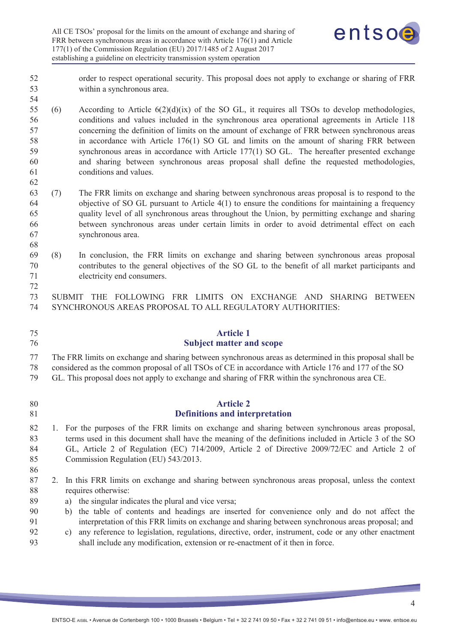

- 52 order to respect operational security. This proposal does not apply to exchange or sharing of FRR 53 within a synchronous area.
- 55 (6) According to Article 6(2)(d)(ix) of the SO GL, it requires all TSOs to develop methodologies, 56 conditions and values included in the synchronous area operational agreements in Article 118 57 concerning the definition of limits on the amount of exchange of FRR between synchronous areas 58 in accordance with Article 176(1) SO GL and limits on the amount of sharing FRR between 59 synchronous areas in accordance with Article 177(1) SO GL. The hereafter presented exchange 60 and sharing between synchronous areas proposal shall define the requested methodologies, 61 conditions and values.
- 63 (7) The FRR limits on exchange and sharing between synchronous areas proposal is to respond to the 64 objective of SO GL pursuant to Article 4(1) to ensure the conditions for maintaining a frequency 65 quality level of all synchronous areas throughout the Union, by permitting exchange and sharing 66 between synchronous areas under certain limits in order to avoid detrimental effect on each 67 synchronous area.
- 69 (8) In conclusion, the FRR limits on exchange and sharing between synchronous areas proposal 70 contributes to the general objectives of the SO GL to the benefit of all market participants and 71 electricity end consumers.
- 73 SUBMIT THE FOLLOWING FRR LIMITS ON EXCHANGE AND SHARING BETWEEN 74 SYNCHRONOUS AREAS PROPOSAL TO ALL REGULATORY AUTHORITIES:

## 75 **Article 1**  76 **Subject matter and scope**

77 The FRR limits on exchange and sharing between synchronous areas as determined in this proposal shall be

- 78 considered as the common proposal of all TSOs of CE in accordance with Article 176 and 177 of the SO 79 GL. This proposal does not apply to exchange and sharing of FRR within the synchronous area CE.
- 

54

62

68

72

- 
- 80 **Article 2**  81 **Definitions and interpretation**
- 82 1. For the purposes of the FRR limits on exchange and sharing between synchronous areas proposal, 83 terms used in this document shall have the meaning of the definitions included in Article 3 of the SO 84 GL, Article 2 of Regulation (EC) 714/2009, Article 2 of Directive 2009/72/EC and Article 2 of 85 Commission Regulation (EU) 543/2013.
- 86
- 87 2. In this FRR limits on exchange and sharing between synchronous areas proposal, unless the context 88 requires otherwise:
- 89 a) the singular indicates the plural and vice versa;
- 90 b) the table of contents and headings are inserted for convenience only and do not affect the 91 interpretation of this FRR limits on exchange and sharing between synchronous areas proposal; and
- 92 c) any reference to legislation, regulations, directive, order, instrument, code or any other enactment 93 shall include any modification, extension or re-enactment of it then in force.